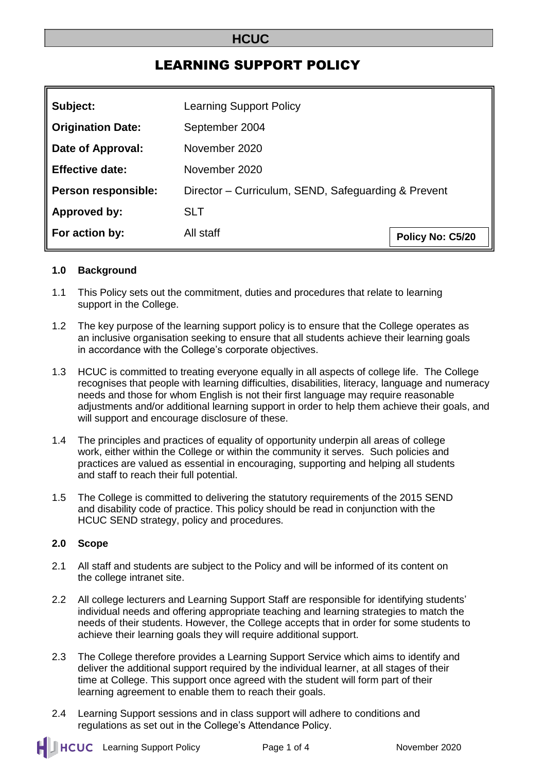# **HCUC**

# LEARNING SUPPORT POLICY

| Subject:                 | <b>Learning Support Policy</b>                      |                  |
|--------------------------|-----------------------------------------------------|------------------|
| <b>Origination Date:</b> | September 2004                                      |                  |
| Date of Approval:        | November 2020                                       |                  |
| <b>Effective date:</b>   | November 2020                                       |                  |
| Person responsible:      | Director - Curriculum, SEND, Safeguarding & Prevent |                  |
| Approved by:             | <b>SLT</b>                                          |                  |
| For action by:           | All staff                                           | Policy No: C5/20 |

#### **1.0 Background**

- 1.1 This Policy sets out the commitment, duties and procedures that relate to learning support in the College.
- 1.2 The key purpose of the learning support policy is to ensure that the College operates as an inclusive organisation seeking to ensure that all students achieve their learning goals in accordance with the College's corporate objectives.
- 1.3 HCUC is committed to treating everyone equally in all aspects of college life. The College recognises that people with learning difficulties, disabilities, literacy, language and numeracy needs and those for whom English is not their first language may require reasonable adjustments and/or additional learning support in order to help them achieve their goals, and will support and encourage disclosure of these.
- 1.4 The principles and practices of equality of opportunity underpin all areas of college work, either within the College or within the community it serves. Such policies and practices are valued as essential in encouraging, supporting and helping all students and staff to reach their full potential.
- 1.5 The College is committed to delivering the statutory requirements of the 2015 SEND and disability code of practice. This policy should be read in conjunction with the HCUC SEND strategy, policy and procedures.

#### **2.0 Scope**

- 2.1 All staff and students are subject to the Policy and will be informed of its content on the college intranet site.
- 2.2 All college lecturers and Learning Support Staff are responsible for identifying students' individual needs and offering appropriate teaching and learning strategies to match the needs of their students. However, the College accepts that in order for some students to achieve their learning goals they will require additional support.
- 2.3 The College therefore provides a Learning Support Service which aims to identify and deliver the additional support required by the individual learner, at all stages of their time at College. This support once agreed with the student will form part of their learning agreement to enable them to reach their goals.
- 2.4 Learning Support sessions and in class support will adhere to conditions and regulations as set out in the College's Attendance Policy.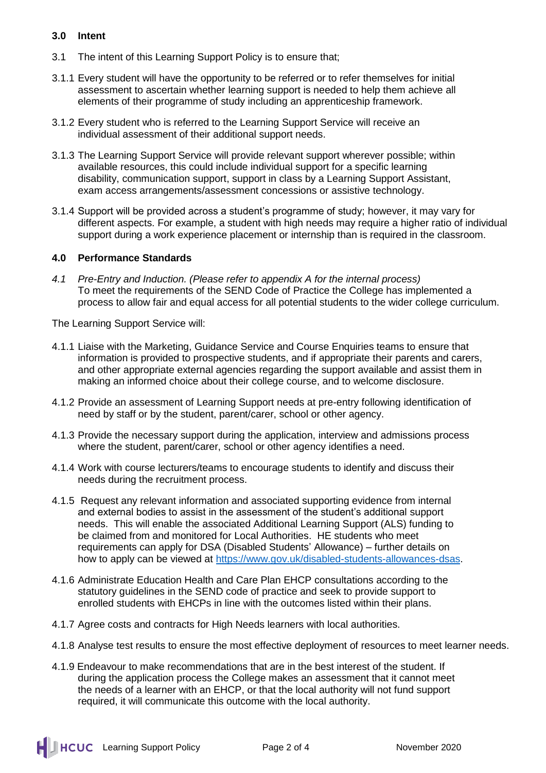### **3.0 Intent**

- 3.1 The intent of this Learning Support Policy is to ensure that;
- 3.1.1 Every student will have the opportunity to be referred or to refer themselves for initial assessment to ascertain whether learning support is needed to help them achieve all elements of their programme of study including an apprenticeship framework.
- 3.1.2 Every student who is referred to the Learning Support Service will receive an individual assessment of their additional support needs.
- 3.1.3 The Learning Support Service will provide relevant support wherever possible; within available resources, this could include individual support for a specific learning disability, communication support, support in class by a Learning Support Assistant, exam access arrangements/assessment concessions or assistive technology.
- 3.1.4 Support will be provided across a student's programme of study; however, it may vary for different aspects. For example, a student with high needs may require a higher ratio of individual support during a work experience placement or internship than is required in the classroom.

#### **4.0 Performance Standards**

*4.1 Pre-Entry and Induction. (Please refer to appendix A for the internal process)* To meet the requirements of the SEND Code of Practice the College has implemented a process to allow fair and equal access for all potential students to the wider college curriculum.

The Learning Support Service will:

- 4.1.1 Liaise with the Marketing, Guidance Service and Course Enquiries teams to ensure that information is provided to prospective students, and if appropriate their parents and carers, and other appropriate external agencies regarding the support available and assist them in making an informed choice about their college course, and to welcome disclosure.
- 4.1.2 Provide an assessment of Learning Support needs at pre-entry following identification of need by staff or by the student, parent/carer, school or other agency.
- 4.1.3 Provide the necessary support during the application, interview and admissions process where the student, parent/carer, school or other agency identifies a need.
- 4.1.4 Work with course lecturers/teams to encourage students to identify and discuss their needs during the recruitment process.
- 4.1.5 Request any relevant information and associated supporting evidence from internal and external bodies to assist in the assessment of the student's additional support needs. This will enable the associated Additional Learning Support (ALS) funding to be claimed from and monitored for Local Authorities. HE students who meet requirements can apply for DSA (Disabled Students' Allowance) – further details on how to apply can be viewed at [https://www.gov.uk/disabled-students-allowances-dsas.](https://www.gov.uk/disabled-students-allowances-dsas)
- 4.1.6 Administrate Education Health and Care Plan EHCP consultations according to the statutory guidelines in the SEND code of practice and seek to provide support to enrolled students with EHCPs in line with the outcomes listed within their plans.
- 4.1.7 Agree costs and contracts for High Needs learners with local authorities.
- 4.1.8 Analyse test results to ensure the most effective deployment of resources to meet learner needs.
- 4.1.9 Endeavour to make recommendations that are in the best interest of the student. If during the application process the College makes an assessment that it cannot meet the needs of a learner with an EHCP, or that the local authority will not fund support required, it will communicate this outcome with the local authority.

**LACUC** Learning Support Policy Page 2 of 4 November 2020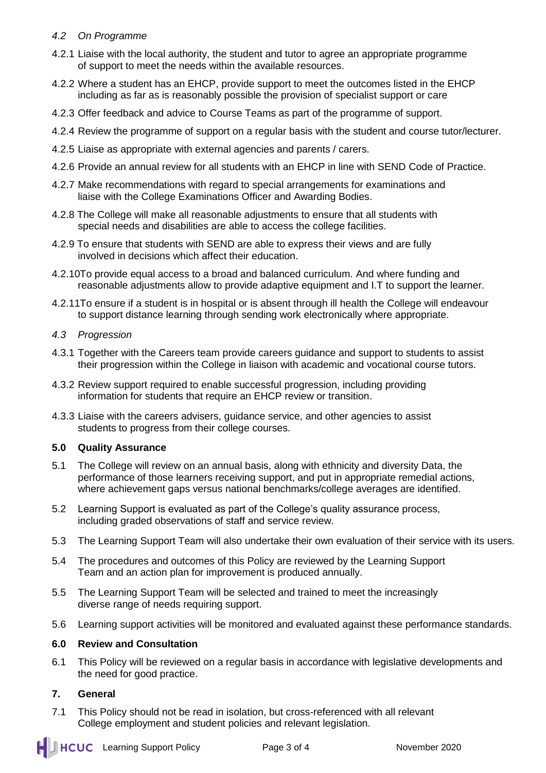### *4.2 On Programme*

- 4.2.1 Liaise with the local authority, the student and tutor to agree an appropriate programme of support to meet the needs within the available resources.
- 4.2.2 Where a student has an EHCP, provide support to meet the outcomes listed in the EHCP including as far as is reasonably possible the provision of specialist support or care
- 4.2.3 Offer feedback and advice to Course Teams as part of the programme of support.
- 4.2.4 Review the programme of support on a regular basis with the student and course tutor/lecturer.
- 4.2.5 Liaise as appropriate with external agencies and parents / carers.
- 4.2.6 Provide an annual review for all students with an EHCP in line with SEND Code of Practice.
- 4.2.7 Make recommendations with regard to special arrangements for examinations and liaise with the College Examinations Officer and Awarding Bodies.
- 4.2.8 The College will make all reasonable adjustments to ensure that all students with special needs and disabilities are able to access the college facilities.
- 4.2.9 To ensure that students with SEND are able to express their views and are fully involved in decisions which affect their education.
- 4.2.10To provide equal access to a broad and balanced curriculum. And where funding and reasonable adjustments allow to provide adaptive equipment and I.T to support the learner.
- 4.2.11To ensure if a student is in hospital or is absent through ill health the College will endeavour to support distance learning through sending work electronically where appropriate.

#### *4.3 Progression*

- 4.3.1 Together with the Careers team provide careers guidance and support to students to assist their progression within the College in liaison with academic and vocational course tutors.
- 4.3.2 Review support required to enable successful progression, including providing information for students that require an EHCP review or transition.
- 4.3.3 Liaise with the careers advisers, guidance service, and other agencies to assist students to progress from their college courses.

# **5.0 Quality Assurance**

- 5.1 The College will review on an annual basis, along with ethnicity and diversity Data, the performance of those learners receiving support, and put in appropriate remedial actions, where achievement gaps versus national benchmarks/college averages are identified.
- 5.2 Learning Support is evaluated as part of the College's quality assurance process, including graded observations of staff and service review.
- 5.3 The Learning Support Team will also undertake their own evaluation of their service with its users.
- 5.4 The procedures and outcomes of this Policy are reviewed by the Learning Support Team and an action plan for improvement is produced annually.
- 5.5 The Learning Support Team will be selected and trained to meet the increasingly diverse range of needs requiring support.
- 5.6 Learning support activities will be monitored and evaluated against these performance standards.

#### **6.0 Review and Consultation**

6.1 This Policy will be reviewed on a regular basis in accordance with legislative developments and the need for good practice.

# **7. General**

7.1 This Policy should not be read in isolation, but cross-referenced with all relevant College employment and student policies and relevant legislation.